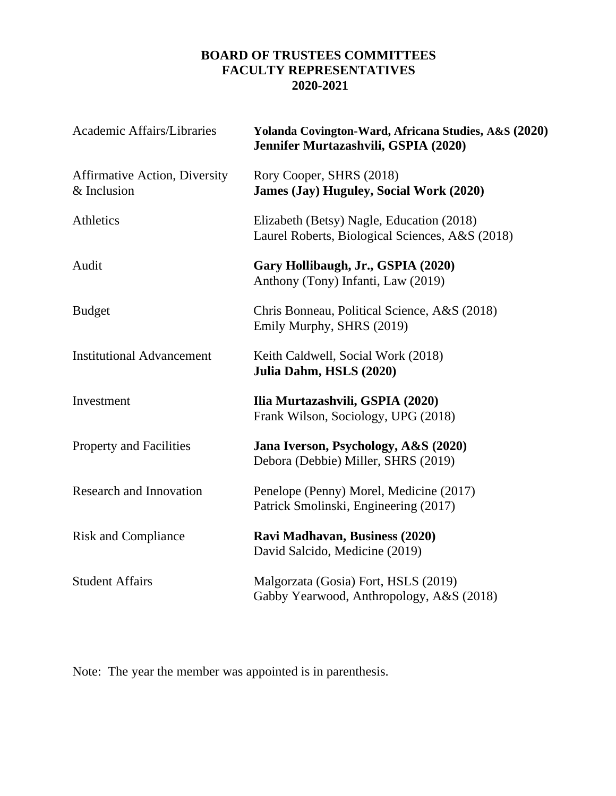# **BOARD OF TRUSTEES COMMITTEES FACULTY REPRESENTATIVES 2020-2021**

| Academic Affairs/Libraries                          | Yolanda Covington-Ward, Africana Studies, A&S (2020)<br>Jennifer Murtazashvili, GSPIA (2020) |
|-----------------------------------------------------|----------------------------------------------------------------------------------------------|
| <b>Affirmative Action, Diversity</b><br>& Inclusion | Rory Cooper, SHRS (2018)<br><b>James (Jay) Huguley, Social Work (2020)</b>                   |
| Athletics                                           | Elizabeth (Betsy) Nagle, Education (2018)<br>Laurel Roberts, Biological Sciences, A&S (2018) |
| Audit                                               | Gary Hollibaugh, Jr., GSPIA (2020)<br>Anthony (Tony) Infanti, Law (2019)                     |
| <b>Budget</b>                                       | Chris Bonneau, Political Science, A&S (2018)<br>Emily Murphy, SHRS (2019)                    |
| <b>Institutional Advancement</b>                    | Keith Caldwell, Social Work (2018)<br>Julia Dahm, HSLS (2020)                                |
| Investment                                          | Ilia Murtazashvili, GSPIA (2020)<br>Frank Wilson, Sociology, UPG (2018)                      |
| <b>Property and Facilities</b>                      | Jana Iverson, Psychology, A&S (2020)<br>Debora (Debbie) Miller, SHRS (2019)                  |
| <b>Research and Innovation</b>                      | Penelope (Penny) Morel, Medicine (2017)<br>Patrick Smolinski, Engineering (2017)             |
| <b>Risk and Compliance</b>                          | Ravi Madhavan, Business (2020)<br>David Salcido, Medicine (2019)                             |
| <b>Student Affairs</b>                              | Malgorzata (Gosia) Fort, HSLS (2019)<br>Gabby Yearwood, Anthropology, A&S (2018)             |

Note: The year the member was appointed is in parenthesis.